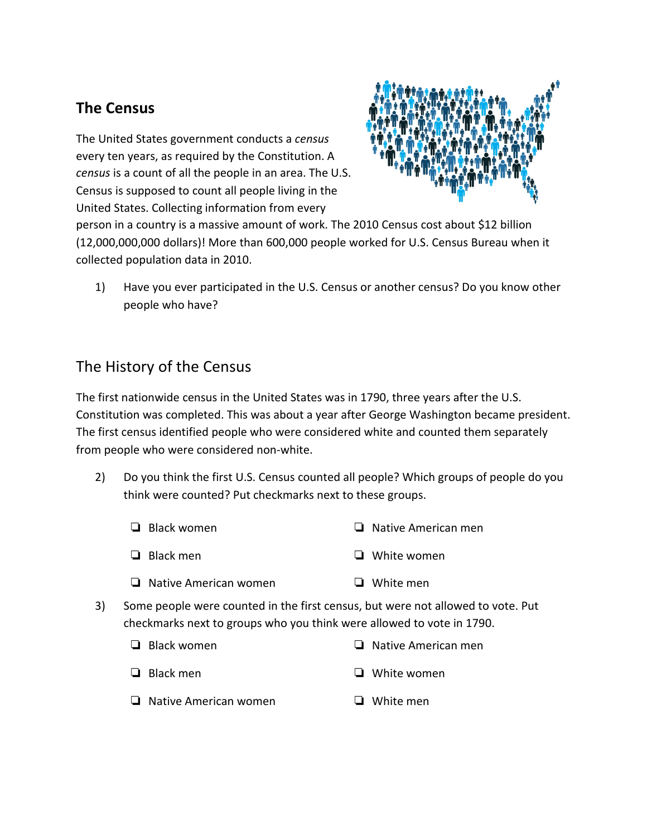## **The Census**

The United States government conducts a *census*  every ten years, as required by the Constitution. A *census* is a count of all the people in an area. The U.S. Census is supposed to count all people living in the United States. Collecting information from every



person in a country is a massive amount of work. The 2010 Census cost about \$12 billion (12,000,000,000 dollars)! More than 600,000 people worked for U.S. Census Bureau when it collected population data in 2010.

1) Have you ever participated in the U.S. Census or another census? Do you know other people who have?

## The History of the Census

The first nationwide census in the United States was in 1790, three years after the U.S. Constitution was completed. This was about a year after George Washington became president. The first census identified people who were considered white and counted them separately from people who were considered non-white.

2) Do you think the first U.S. Census counted all people? Which groups of people do you think were counted? Put checkmarks next to these groups.

| $\Box$ Black women           | $\Box$ Native American men |
|------------------------------|----------------------------|
| $\Box$ Black men             | $\Box$ White women         |
| $\Box$ Native American women | $\Box$ White men           |

3) Some people were counted in the first census, but were not allowed to vote. Put checkmarks next to groups who you think were allowed to vote in 1790.

| $\Box$ Black women           | $\Box$ Native American men |
|------------------------------|----------------------------|
| $\Box$ Black men             | $\Box$ White women         |
| $\Box$ Native American women | $\Box$ White men           |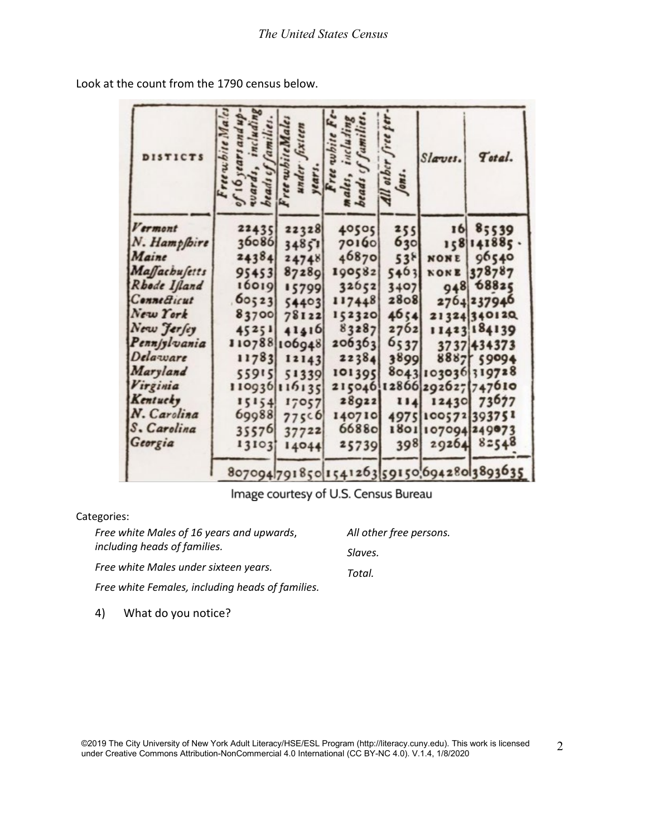| DISTICTS             | Freewhite Maic<br>includin<br>Camilie<br>16 years and | whiteMa<br>under<br>years. | Free white<br>5<br>ales,<br>beads       | free per<br>other<br>fons. | Slaves. | Total.                     |
|----------------------|-------------------------------------------------------|----------------------------|-----------------------------------------|----------------------------|---------|----------------------------|
| Vermont              | 22435                                                 | 22328                      | 40505                                   | 255                        |         | 16 85539                   |
| N. Hampfbire         | 36086                                                 | 34851                      | 70160                                   | 630                        |         | 158 141885.                |
| Maine                | 24384                                                 | 24748                      | 46870                                   | $53^{8}$                   | NONE    | 96540                      |
| <b>Maffachufetts</b> | 95453                                                 | 87289                      | 190582                                  | 5463                       | NONE    | 378787                     |
| Rhode Ifland         | 16019                                                 | 15799                      | 32652                                   | 3407                       |         | 948 68825                  |
| <b>Connecticut</b>   | 60523                                                 | 54403                      | 117448                                  | 2808                       |         | 2764237946                 |
| New York             | 83700                                                 | 78122                      | 152320                                  | 4654                       |         | 21324340120                |
| New Jersey           | 45251                                                 | 41416                      | 83287                                   | 2762                       |         | 11423 184139               |
| Pennsylvania         |                                                       | 110788106948               | 206363                                  | 6,37                       |         | 3737 434373                |
| Delaware             | 11783                                                 | 12143                      | 22384                                   | 3899                       |         | 8887 59094                 |
| Maryland             | 55915                                                 | 51339                      | 101395                                  |                            |         | 8043 103036 319728         |
| Virginia             |                                                       | 110936 116135              |                                         |                            |         | 215046 12866 292627 747610 |
| Kentucky             | 15154                                                 | 17057                      | 28922                                   | 114                        |         | 12430 73677                |
| N. Carolina          | 69988                                                 | 775c6                      | 140710                                  |                            |         | 4975100572393751           |
| S. Carolina          | 35576                                                 | 37722                      | 66880                                   |                            |         | 1801 107094 249073         |
| Georgia              | 13103                                                 | 14044                      | 25739                                   | 398                        |         | 29264 82548                |
|                      |                                                       |                            | 807094791850154126359150069428013893635 |                            |         |                            |

Look at the count from the 1790 census below.

Image courtesy of U.S. Census Bureau

## Categories:

| Free white Males of 16 years and upwards,        | All other free persons. |  |  |
|--------------------------------------------------|-------------------------|--|--|
| including heads of families.                     | Slaves.                 |  |  |
| Free white Males under sixteen years.            | Total.                  |  |  |
| Free white Females, including heads of families. |                         |  |  |
|                                                  |                         |  |  |

4) What do you notice?